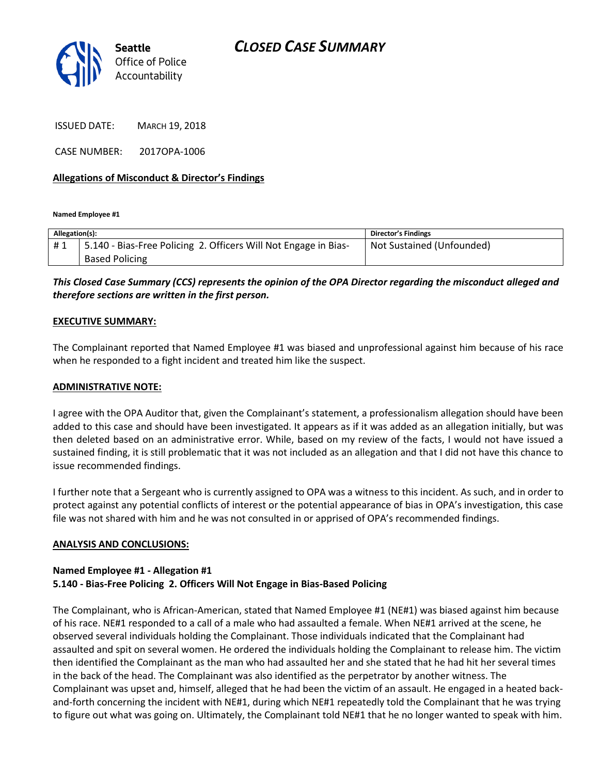

ISSUED DATE: MARCH 19, 2018

CASE NUMBER: 2017OPA-1006

## **Allegations of Misconduct & Director's Findings**

**Named Employee #1**

| Allegation(s): |                                                                 | <b>Director's Findings</b> |
|----------------|-----------------------------------------------------------------|----------------------------|
| #1             | 5.140 - Bias-Free Policing 2. Officers Will Not Engage in Bias- | Not Sustained (Unfounded)  |
|                | <b>Based Policing</b>                                           |                            |

# *This Closed Case Summary (CCS) represents the opinion of the OPA Director regarding the misconduct alleged and therefore sections are written in the first person.*

#### **EXECUTIVE SUMMARY:**

The Complainant reported that Named Employee #1 was biased and unprofessional against him because of his race when he responded to a fight incident and treated him like the suspect.

#### **ADMINISTRATIVE NOTE:**

I agree with the OPA Auditor that, given the Complainant's statement, a professionalism allegation should have been added to this case and should have been investigated. It appears as if it was added as an allegation initially, but was then deleted based on an administrative error. While, based on my review of the facts, I would not have issued a sustained finding, it is still problematic that it was not included as an allegation and that I did not have this chance to issue recommended findings.

I further note that a Sergeant who is currently assigned to OPA was a witness to this incident. As such, and in order to protect against any potential conflicts of interest or the potential appearance of bias in OPA's investigation, this case file was not shared with him and he was not consulted in or apprised of OPA's recommended findings.

## **ANALYSIS AND CONCLUSIONS:**

### **Named Employee #1 - Allegation #1 5.140 - Bias-Free Policing 2. Officers Will Not Engage in Bias-Based Policing**

The Complainant, who is African-American, stated that Named Employee #1 (NE#1) was biased against him because of his race. NE#1 responded to a call of a male who had assaulted a female. When NE#1 arrived at the scene, he observed several individuals holding the Complainant. Those individuals indicated that the Complainant had assaulted and spit on several women. He ordered the individuals holding the Complainant to release him. The victim then identified the Complainant as the man who had assaulted her and she stated that he had hit her several times in the back of the head. The Complainant was also identified as the perpetrator by another witness. The Complainant was upset and, himself, alleged that he had been the victim of an assault. He engaged in a heated backand-forth concerning the incident with NE#1, during which NE#1 repeatedly told the Complainant that he was trying to figure out what was going on. Ultimately, the Complainant told NE#1 that he no longer wanted to speak with him.